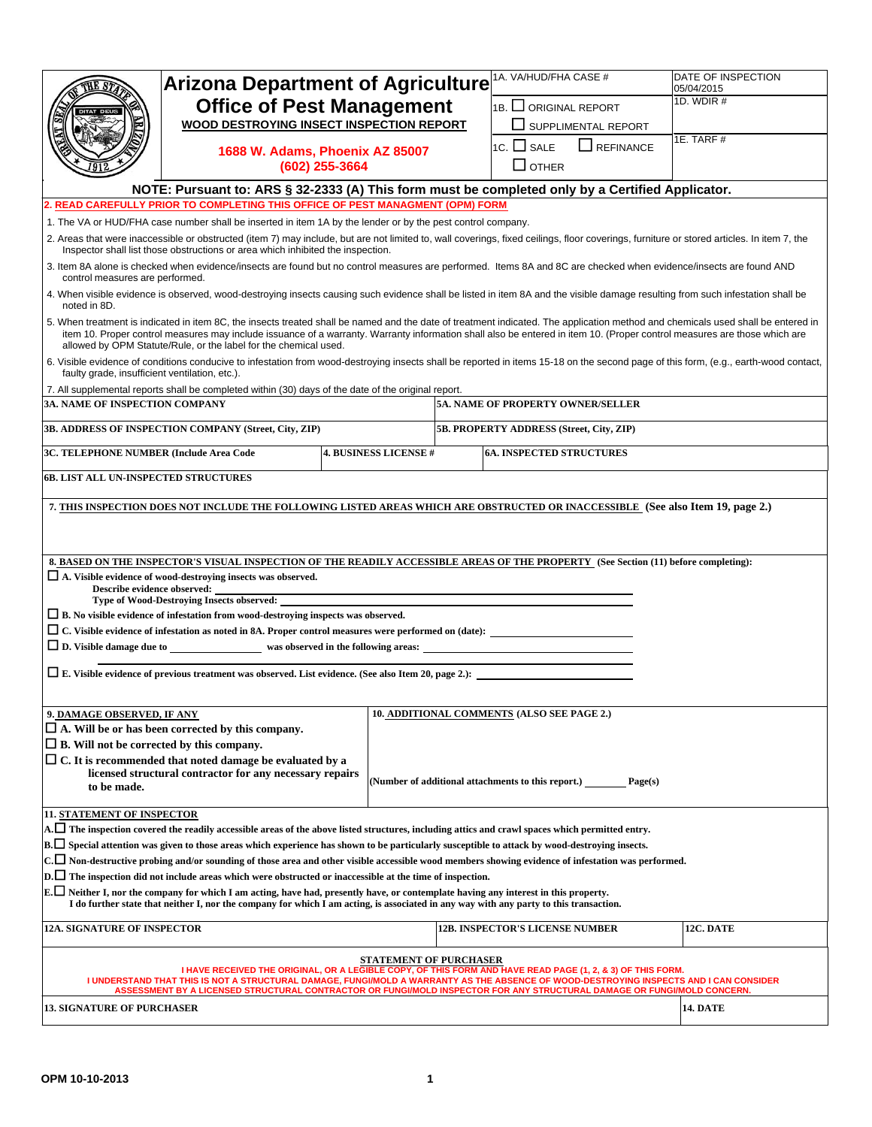|                                                  | <b>Arizona Department of Agriculture</b>                                                                                                                                                                                                                                                                                                                                        |                                                   | 1A. VA/HUD/FHA CASE #                                        | DATE OF INSPECTION<br>05/04/2015                                                                                                                                                                                                                                                                                                                             |
|--------------------------------------------------|---------------------------------------------------------------------------------------------------------------------------------------------------------------------------------------------------------------------------------------------------------------------------------------------------------------------------------------------------------------------------------|---------------------------------------------------|--------------------------------------------------------------|--------------------------------------------------------------------------------------------------------------------------------------------------------------------------------------------------------------------------------------------------------------------------------------------------------------------------------------------------------------|
|                                                  | <b>Office of Pest Management</b>                                                                                                                                                                                                                                                                                                                                                |                                                   | 1B. U ORIGINAL REPORT                                        | 1D. WDIR #                                                                                                                                                                                                                                                                                                                                                   |
|                                                  | WOOD DESTROYING INSECT INSPECTION REPORT                                                                                                                                                                                                                                                                                                                                        |                                                   | SUPPLIMENTAL REPORT                                          |                                                                                                                                                                                                                                                                                                                                                              |
|                                                  |                                                                                                                                                                                                                                                                                                                                                                                 |                                                   | 1C. $\Box$ SALE<br>$\Box$ REFINANCE                          | 1E. TARF#                                                                                                                                                                                                                                                                                                                                                    |
|                                                  |                                                                                                                                                                                                                                                                                                                                                                                 | 1688 W. Adams, Phoenix AZ 85007<br>(602) 255-3664 | $\square$ OTHER                                              |                                                                                                                                                                                                                                                                                                                                                              |
|                                                  | NOTE: Pursuant to: ARS § 32-2333 (A) This form must be completed only by a Certified Applicator.                                                                                                                                                                                                                                                                                |                                                   |                                                              |                                                                                                                                                                                                                                                                                                                                                              |
|                                                  | READ CAREFULLY PRIOR TO COMPLETING THIS OFFICE OF PEST MANAGMENT (OPM) FORM                                                                                                                                                                                                                                                                                                     |                                                   |                                                              |                                                                                                                                                                                                                                                                                                                                                              |
|                                                  | 1. The VA or HUD/FHA case number shall be inserted in item 1A by the lender or by the pest control company.                                                                                                                                                                                                                                                                     |                                                   |                                                              |                                                                                                                                                                                                                                                                                                                                                              |
|                                                  | Inspector shall list those obstructions or area which inhibited the inspection.                                                                                                                                                                                                                                                                                                 |                                                   |                                                              | 2. Areas that were inaccessible or obstructed (item 7) may include, but are not limited to, wall coverings, fixed ceilings, floor coverings, furniture or stored articles. In item 7, the                                                                                                                                                                    |
| control measures are performed.                  |                                                                                                                                                                                                                                                                                                                                                                                 |                                                   |                                                              | 3. Item 8A alone is checked when evidence/insects are found but no control measures are performed. Items 8A and 8C are checked when evidence/insects are found AND                                                                                                                                                                                           |
| noted in 8D.                                     |                                                                                                                                                                                                                                                                                                                                                                                 |                                                   |                                                              | 4. When visible evidence is observed, wood-destroying insects causing such evidence shall be listed in item 8A and the visible damage resulting from such infestation shall be                                                                                                                                                                               |
|                                                  | allowed by OPM Statute/Rule, or the label for the chemical used.                                                                                                                                                                                                                                                                                                                |                                                   |                                                              | 5. When treatment is indicated in item 8C, the insects treated shall be named and the date of treatment indicated. The application method and chemicals used shall be entered in<br>item 10. Proper control measures may include issuance of a warranty. Warranty information shall also be entered in item 10. (Proper control measures are those which are |
| faulty grade, insufficient ventilation, etc.).   |                                                                                                                                                                                                                                                                                                                                                                                 |                                                   |                                                              | 6. Visible evidence of conditions conducive to infestation from wood-destroying insects shall be reported in items 15-18 on the second page of this form, (e.g., earth-wood contact,                                                                                                                                                                         |
|                                                  | 7. All supplemental reports shall be completed within (30) days of the date of the original report.                                                                                                                                                                                                                                                                             |                                                   |                                                              |                                                                                                                                                                                                                                                                                                                                                              |
| <b>3A. NAME OF INSPECTION COMPANY</b>            |                                                                                                                                                                                                                                                                                                                                                                                 |                                                   | 5A. NAME OF PROPERTY OWNER/SELLER                            |                                                                                                                                                                                                                                                                                                                                                              |
|                                                  | 3B. ADDRESS OF INSPECTION COMPANY (Street, City, ZIP)                                                                                                                                                                                                                                                                                                                           |                                                   | 5B. PROPERTY ADDRESS (Street, City, ZIP)                     |                                                                                                                                                                                                                                                                                                                                                              |
| 3C. TELEPHONE NUMBER (Include Area Code          |                                                                                                                                                                                                                                                                                                                                                                                 | <b>4. BUSINESS LICENSE #</b>                      | <b>6A. INSPECTED STRUCTURES</b>                              |                                                                                                                                                                                                                                                                                                                                                              |
| <b>6B. LIST ALL UN-INSPECTED STRUCTURES</b>      |                                                                                                                                                                                                                                                                                                                                                                                 |                                                   |                                                              |                                                                                                                                                                                                                                                                                                                                                              |
|                                                  | 8. BASED ON THE INSPECTOR'S VISUAL INSPECTION OF THE READILY ACCESSIBLE AREAS OF THE PROPERTY (See Section (11) before completing):                                                                                                                                                                                                                                             |                                                   |                                                              |                                                                                                                                                                                                                                                                                                                                                              |
| Describe evidence observed:                      | □ A. Visible evidence of wood-destroying insects was observed.<br>Type of Wood-Destroying Insects observed:                                                                                                                                                                                                                                                                     |                                                   |                                                              |                                                                                                                                                                                                                                                                                                                                                              |
|                                                  | $\Box$ B. No visible evidence of infestation from wood-destroying inspects was observed.                                                                                                                                                                                                                                                                                        |                                                   |                                                              |                                                                                                                                                                                                                                                                                                                                                              |
|                                                  | □ C. Visible evidence of infestation as noted in 8A. Proper control measures were performed on (date):                                                                                                                                                                                                                                                                          |                                                   |                                                              |                                                                                                                                                                                                                                                                                                                                                              |
|                                                  |                                                                                                                                                                                                                                                                                                                                                                                 |                                                   |                                                              |                                                                                                                                                                                                                                                                                                                                                              |
|                                                  | $\Box$ E. Visible evidence of previous treatment was observed. List evidence. (See also Item 20, page 2.):                                                                                                                                                                                                                                                                      |                                                   |                                                              |                                                                                                                                                                                                                                                                                                                                                              |
|                                                  |                                                                                                                                                                                                                                                                                                                                                                                 |                                                   |                                                              |                                                                                                                                                                                                                                                                                                                                                              |
| 9. DAMAGE OBSERVED, IF ANY                       |                                                                                                                                                                                                                                                                                                                                                                                 |                                                   | 10. ADDITIONAL COMMENTS (ALSO SEE PAGE 2.)                   |                                                                                                                                                                                                                                                                                                                                                              |
|                                                  | $\Box$ A. Will be or has been corrected by this company.                                                                                                                                                                                                                                                                                                                        |                                                   |                                                              |                                                                                                                                                                                                                                                                                                                                                              |
| $\Box$ B. Will not be corrected by this company. | $\Box$ C. It is recommended that noted damage be evaluated by a                                                                                                                                                                                                                                                                                                                 |                                                   |                                                              |                                                                                                                                                                                                                                                                                                                                                              |
|                                                  | licensed structural contractor for any necessary repairs                                                                                                                                                                                                                                                                                                                        |                                                   |                                                              |                                                                                                                                                                                                                                                                                                                                                              |
| to be made.                                      |                                                                                                                                                                                                                                                                                                                                                                                 |                                                   | (Number of additional attachments to this report.) _________ | Page(s)                                                                                                                                                                                                                                                                                                                                                      |
| <b>11. STATEMENT OF INSPECTOR</b>                |                                                                                                                                                                                                                                                                                                                                                                                 |                                                   |                                                              |                                                                                                                                                                                                                                                                                                                                                              |
|                                                  | $ \rm{A.}\Box$ The inspection covered the readily accessible areas of the above listed structures, including attics and crawl spaces which permitted entry.                                                                                                                                                                                                                     |                                                   |                                                              |                                                                                                                                                                                                                                                                                                                                                              |
|                                                  | $B.\Box$ Special attention was given to those areas which experience has shown to be particularly susceptible to attack by wood-destroying insects.                                                                                                                                                                                                                             |                                                   |                                                              |                                                                                                                                                                                                                                                                                                                                                              |
|                                                  | $\lfloor$ C. $\Box$ Non-destructive probing and/or sounding of those area and other visible accessible wood members showing evidence of infestation was performed.                                                                                                                                                                                                              |                                                   |                                                              |                                                                                                                                                                                                                                                                                                                                                              |
|                                                  | $\mathbf{D}.\Box$ The inspection did not include areas which were obstructed or inaccessible at the time of inspection.                                                                                                                                                                                                                                                         |                                                   |                                                              |                                                                                                                                                                                                                                                                                                                                                              |
|                                                  | $E.$ Neither I, nor the company for which I am acting, have had, presently have, or contemplate having any interest in this property.<br>I do further state that neither I, nor the company for which I am acting, is associated in any way with any party to this transaction.                                                                                                 |                                                   |                                                              |                                                                                                                                                                                                                                                                                                                                                              |
| <b>12A. SIGNATURE OF INSPECTOR</b>               |                                                                                                                                                                                                                                                                                                                                                                                 |                                                   | <b>12B. INSPECTOR'S LICENSE NUMBER</b>                       | 12C. DATE                                                                                                                                                                                                                                                                                                                                                    |
|                                                  | I HAVE RECEIVED THE ORIGINAL, OR A LEGIBLE COPY, OF THIS FORM AND HAVE READ PAGE (1, 2, & 3) OF THIS FORM.<br>I UNDERSTAND THAT THIS IS NOT A STRUCTURAL DAMAGE, FUNGI/MOLD A WARRANTY AS THE ABSENCE OF WOOD-DESTROYING INSPECTS AND I CAN CONSIDER<br>ASSESSMENT BY A LICENSED STRUCTURAL CONTRACTOR OR FUNGI/MOLD INSPECTOR FOR ANY STRUCTURAL DAMAGE OR FUNGI/MOLD CONCERN. | STATEMENT OF PURCHASER                            |                                                              |                                                                                                                                                                                                                                                                                                                                                              |
| <b>13. SIGNATURE OF PURCHASER</b>                |                                                                                                                                                                                                                                                                                                                                                                                 |                                                   |                                                              | <b>14. DATE</b>                                                                                                                                                                                                                                                                                                                                              |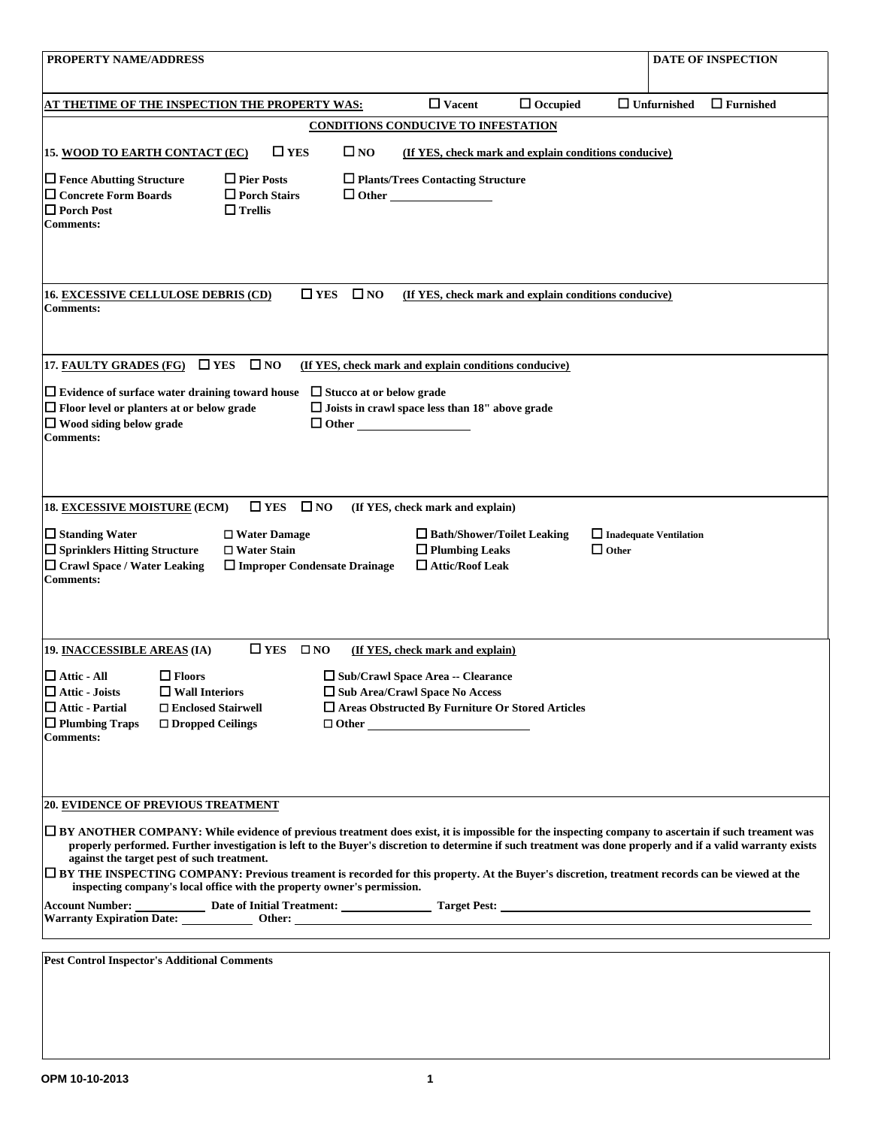| <b>PROPERTY NAME/ADDRESS</b>                                                                                                                                                                                                                                                                                                                                                                                                                                                                                                                                                                                                                                                                                                      |                               | <b>DATE OF INSPECTION</b> |
|-----------------------------------------------------------------------------------------------------------------------------------------------------------------------------------------------------------------------------------------------------------------------------------------------------------------------------------------------------------------------------------------------------------------------------------------------------------------------------------------------------------------------------------------------------------------------------------------------------------------------------------------------------------------------------------------------------------------------------------|-------------------------------|---------------------------|
| $\Box$ Vacent<br>$\Box$ Occupied<br>AT THETIME OF THE INSPECTION THE PROPERTY WAS:                                                                                                                                                                                                                                                                                                                                                                                                                                                                                                                                                                                                                                                | $\Box$ Unfurnished            | $\Box$ Furnished          |
| <b>CONDITIONS CONDUCIVE TO INFESTATION</b>                                                                                                                                                                                                                                                                                                                                                                                                                                                                                                                                                                                                                                                                                        |                               |                           |
| $\square$ YES<br>$\square$ NO<br>15. WOOD TO EARTH CONTACT (EC)<br>(If YES, check mark and explain conditions conducive)                                                                                                                                                                                                                                                                                                                                                                                                                                                                                                                                                                                                          |                               |                           |
| $\Box$ Fence Abutting Structure<br>$\Box$ Pier Posts<br>$\Box$ Plants/Trees Contacting Structure<br>□ Concrete Form Boards<br>$\Box$ Porch Stairs<br>$\Box$ Other<br>$\Box$ Porch Post<br>$\Box$ Trellis<br><b>Comments:</b>                                                                                                                                                                                                                                                                                                                                                                                                                                                                                                      |                               |                           |
| $\square$ YES<br>$\square$ NO<br>(If YES, check mark and explain conditions conducive)<br><b>16. EXCESSIVE CELLULOSE DEBRIS (CD)</b><br><b>Comments:</b>                                                                                                                                                                                                                                                                                                                                                                                                                                                                                                                                                                          |                               |                           |
| $\square$ YES<br>$\square$ NO<br>17. FAULTY GRADES (FG)<br>(If YES, check mark and explain conditions conducive)<br>$\Box$ Evidence of surface water draining toward house<br>$\Box$ Stucco at or below grade<br>$\Box$ Floor level or planters at or below grade<br>$\Box$ Joists in crawl space less than 18" above grade<br>$\Box$ Wood siding below grade<br>$\Box$ Other<br><b>Comments:</b>                                                                                                                                                                                                                                                                                                                                 |                               |                           |
| $\square$ NO<br>$\square$ YES<br>18. EXCESSIVE MOISTURE (ECM)<br>(If YES, check mark and explain)<br>$\Box$ Standing Water<br>□ Bath/Shower/Toilet Leaking<br>$\Box$ Water Damage<br>$\Box$ Sprinklers Hitting Structure<br>$\Box$ Plumbing Leaks<br>$\square$ Water Stain<br>$\Box$ Other<br>□ Crawl Space / Water Leaking<br>$\Box$ Attic/Roof Leak<br>□ Improper Condensate Drainage<br><b>Comments:</b>                                                                                                                                                                                                                                                                                                                       | $\Box$ Inadequate Ventilation |                           |
| $\square$ YES<br>$\square$ NO<br>19. INACCESSIBLE AREAS (IA)<br>(If YES, check mark and explain)<br>$\Box$ Attic - All<br>$\Box$ Floors<br>$\Box$ Sub/Crawl Space Area -- Clearance<br>$\Box$ Attic - Joists<br>$\Box$ Wall Interiors<br>□ Sub Area/Crawl Space No Access<br>$\Box$ Attic - Partial<br>□ Areas Obstructed By Furniture Or Stored Articles<br>□ Enclosed Stairwell<br>$\Box$ Plumbing Traps<br>$\Box$ Dropped Ceilings<br><b>Comments:</b>                                                                                                                                                                                                                                                                         |                               |                           |
| <b>20. EVIDENCE OF PREVIOUS TREATMENT</b><br>□ BY ANOTHER COMPANY: While evidence of previous treatment does exist, it is impossible for the inspecting company to ascertain if such treament was<br>properly performed. Further investigation is left to the Buyer's discretion to determine if such treatment was done properly and if a valid warranty exists<br>against the target pest of such treatment.<br>□ BY THE INSPECTING COMPANY: Previous treament is recorded for this property. At the Buyer's discretion, treatment records can be viewed at the<br>inspecting company's local office with the property owner's permission.<br>Warranty Expiration Date: ______________ Other: _________________________________ |                               |                           |
| <b>Pest Control Inspector's Additional Comments</b>                                                                                                                                                                                                                                                                                                                                                                                                                                                                                                                                                                                                                                                                               |                               |                           |